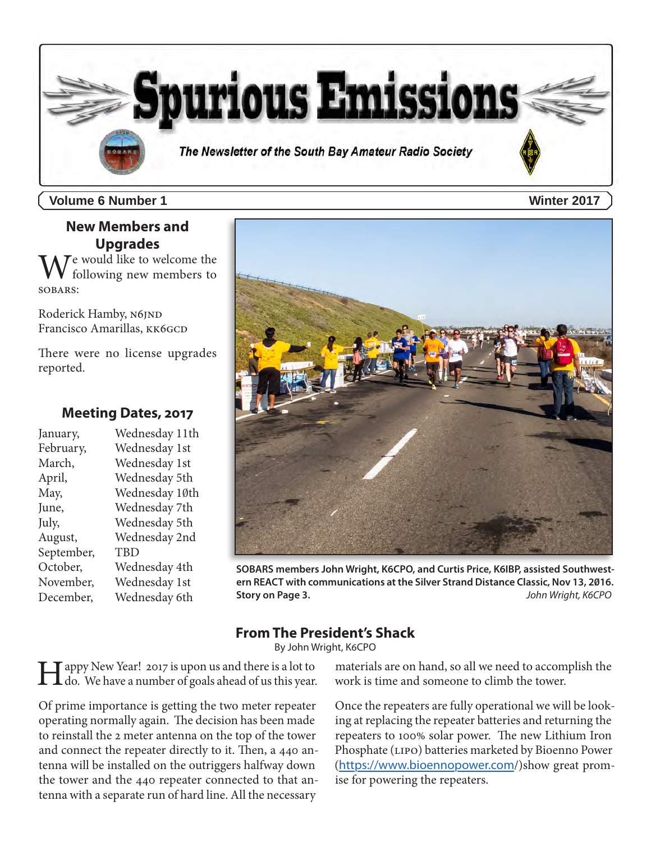

**Volume 6 Number 1 Winter 2017**

# **New Members and Upgrades**

 $\mathcal T$ e would like to welcome the following new members to SOBARS:

Roderick Hamby, N6JND Francisco Amarillas, KK6GCD

There were no license upgrades reported.

## **Meeting Dates, 2017**

January, Wednesday 11th February, Wednesday 1st March, Wednesday 1st April, Wednesday 5th May, Wednesday 10th June, Wednesday 7th July, Wednesday 5th August, Wednesday 2nd September, TBD October, Wednesday 4th November, Wednesday 1st December, Wednesday 6th



**SOBARS members John Wright, K6CPO, and Curtis Price, K6IBP, assisted Southwestern REACT with communications at the Silver Strand Distance Classic, Nov 13, 2016. Story on Page 3.** *John Wright, K6CPO*

# **From The President's Shack**

By John Wright, K6CPO

Happy New Year! 2017 is upon us and there is a lot to do. We have a number of goals ahead of us this year.

Of prime importance is getting the two meter repeater operating normally again. The decision has been made to reinstall the 2 meter antenna on the top of the tower and connect the repeater directly to it. Then, a 440 antenna will be installed on the outriggers halfway down the tower and the 440 repeater connected to that antenna with a separate run of hard line. All the necessary

materials are on hand, so all we need to accomplish the work is time and someone to climb the tower.

Once the repeaters are fully operational we will be looking at replacing the repeater batteries and returning the repeaters to 100% solar power. The new Lithium Iron Phosphate (LIPO) batteries marketed by Bioenno Power (<https://www.bioennopower.com>/)show great promise for powering the repeaters.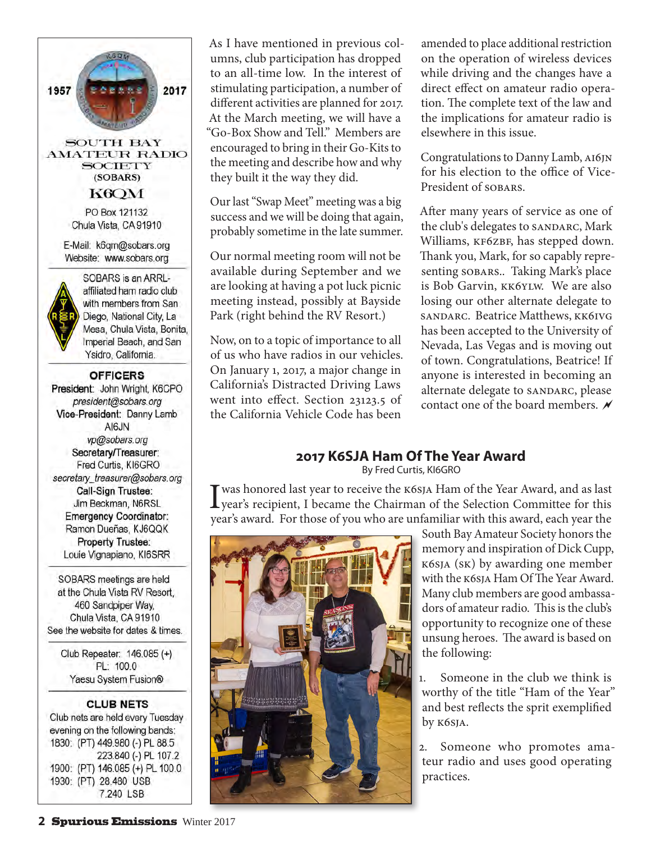

As I have mentioned in previous columns, club participation has dropped to an all-time low. In the interest of stimulating participation, a number of different activities are planned for 2017. At the March meeting, we will have a "Go-Box Show and Tell." Members are encouraged to bring in their Go-Kits to the meeting and describe how and why they built it the way they did.

Our last "Swap Meet" meeting was a big success and we will be doing that again, probably sometime in the late summer.

Our normal meeting room will not be available during September and we are looking at having a pot luck picnic meeting instead, possibly at Bayside Park (right behind the RV Resort.)

Now, on to a topic of importance to all of us who have radios in our vehicles. On January 1, 2017, a major change in California's Distracted Driving Laws went into effect. Section 23123.5 of the California Vehicle Code has been

amended to place additional restriction on the operation of wireless devices while driving and the changes have a direct effect on amateur radio operation. The complete text of the law and the implications for amateur radio is elsewhere in this issue.

Congratulations to Danny Lamb, AI6JN for his election to the office of Vice-President of SOBARS.

After many years of service as one of the club's delegates to SANDARC, Mark Williams, KF6ZBF, has stepped down. Thank you, Mark, for so capably representing sobars.. Taking Mark's place is Bob Garvin, KK6YLW. We are also losing our other alternate delegate to SANDARC. Beatrice Matthews, KK6IVG has been accepted to the University of Nevada, Las Vegas and is moving out of town. Congratulations, Beatrice! If anyone is interested in becoming an alternate delegate to SANDARC, please contact one of the board members.  $\lambda$ 

## **2017 K6SJA Ham Of The Year Award**

By Fred Curtis, KI6GRO

I was honored last year to receive the K6SJA Ham of the Year Award, and as last<br>year's recipient, I became the Chairman of the Selection Committee for this year's award. For those of you who are unfamiliar with this award, each year the



South Bay Amateur Society honors the memory and inspiration of Dick Cupp, K6SJA (SK) by awarding one member with the K6SJA Ham Of The Year Award. Many club members are good ambassadors of amateur radio. This is the club's opportunity to recognize one of these unsung heroes. The award is based on the following:

1. Someone in the club we think is worthy of the title "Ham of the Year" and best reflects the sprit exemplified by K6SJA.

2. Someone who promotes amateur radio and uses good operating practices.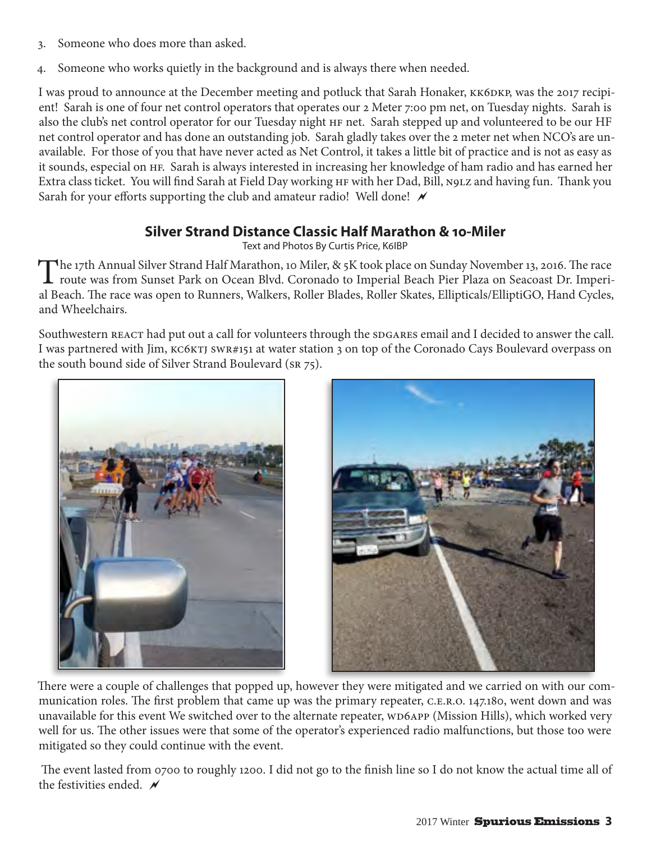- 3. Someone who does more than asked.
- 4. Someone who works quietly in the background and is always there when needed.

I was proud to announce at the December meeting and potluck that Sarah Honaker, KK6DKP, was the 2017 recipient! Sarah is one of four net control operators that operates our 2 Meter 7:00 pm net, on Tuesday nights. Sarah is also the club's net control operator for our Tuesday night HF net. Sarah stepped up and volunteered to be our HF net control operator and has done an outstanding job. Sarah gladly takes over the 2 meter net when NCO's are unavailable. For those of you that have never acted as Net Control, it takes a little bit of practice and is not as easy as it sounds, especial on HF. Sarah is always interested in increasing her knowledge of ham radio and has earned her Extra class ticket. You will find Sarah at Field Day working HF with her Dad, Bill, N9LZ and having fun. Thank you Sarah for your efforts supporting the club and amateur radio! Well done!  $\mathcal N$ 

# **Silver Strand Distance Classic Half Marathon & 10-Miler**

Text and Photos By Curtis Price, K6IBP

The 17th Annual Silver Strand Half Marathon, 10 Miler, & 5K took place on Sunday November 13, 2016. The race route was from Sunset Park on Ocean Blvd. Coronado to Imperial Beach Pier Plaza on Seacoast Dr. Imperial Beach. The race was open to Runners, Walkers, Roller Blades, Roller Skates, Ellipticals/ElliptiGO, Hand Cycles, and Wheelchairs.

Southwestern REACT had put out a call for volunteers through the SDGARES email and I decided to answer the call. I was partnered with Jim, KC6KTJ SWR#151 at water station 3 on top of the Coronado Cays Boulevard overpass on the south bound side of Silver Strand Boulevard (SR 75).





There were a couple of challenges that popped up, however they were mitigated and we carried on with our communication roles. The first problem that came up was the primary repeater, C.E.R.O. 147.180, went down and was unavailable for this event We switched over to the alternate repeater, WD6APP (Mission Hills), which worked very well for us. The other issues were that some of the operator's experienced radio malfunctions, but those too were mitigated so they could continue with the event.

 The event lasted from 0700 to roughly 1200. I did not go to the finish line so I do not know the actual time all of the festivities ended.  $\overline{\mathscr{N}}$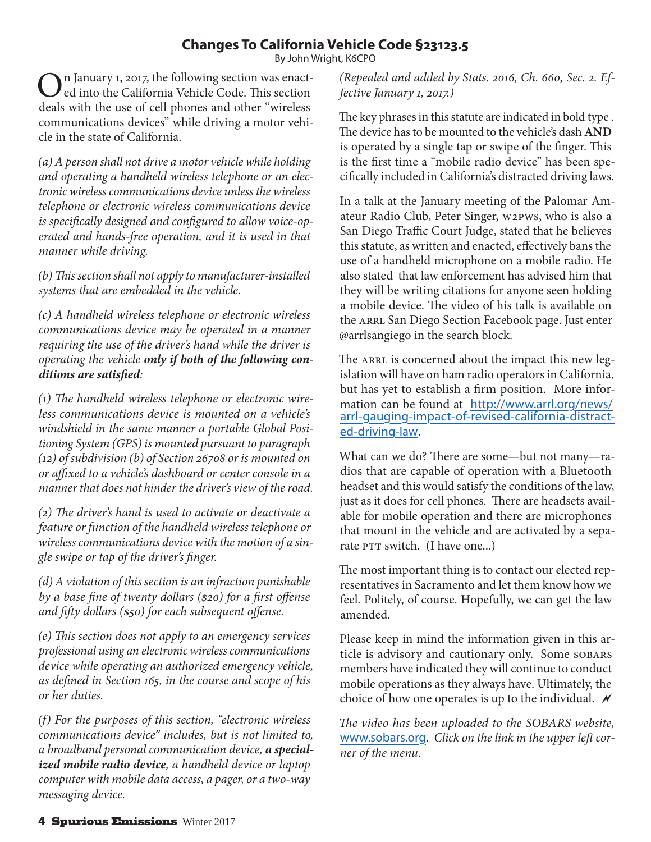# **Changes To California Vehicle Code §23123.5**

By John Wright, K6CPO

In January 1, 2017, the following section was enacted into the California Vehicle Code. This section deals with the use of cell phones and other "wireless communications devices" while driving a motor vehicle in the state of California.

*(a) A person shall not drive a motor vehicle while holding and operating a handheld wireless telephone or an electronic wireless communications device unless the wireless telephone or electronic wireless communications device is specifically designed and configured to allow voice-operated and hands-free operation, and it is used in that manner while driving.*

*(b) This section shall not apply to manufacturer-installed systems that are embedded in the vehicle.*

*(c) A handheld wireless telephone or electronic wireless communications device may be operated in a manner requiring the use of the driver's hand while the driver is operating the vehicle only if both of the following conditions are satisfied:*

*(1) The handheld wireless telephone or electronic wireless communications device is mounted on a vehicle's windshield in the same manner a portable Global Positioning System (GPS) is mounted pursuant to paragraph (12) of subdivision (b) of Section 26708 or is mounted on or affixed to a vehicle's dashboard or center console in a manner that does not hinder the driver's view of the road.*

*(2) The driver's hand is used to activate or deactivate a feature or function of the handheld wireless telephone or wireless communications device with the motion of a single swipe or tap of the driver's finger.*

*(d) A violation of this section is an infraction punishable by a base fine of twenty dollars (\$20) for a first offense and fifty dollars (\$50) for each subsequent offense.*

*(e) This section does not apply to an emergency services professional using an electronic wireless communications device while operating an authorized emergency vehicle, as defined in Section 165, in the course and scope of his or her duties.*

*(f) For the purposes of this section, "electronic wireless communications device" includes, but is not limited to, a broadband personal communication device, a specialized mobile radio device, a handheld device or laptop computer with mobile data access, a pager, or a two-way messaging device.*

*(Repealed and added by Stats. 2016, Ch. 660, Sec. 2. Effective January 1, 2017.)*

The key phrases in this statute are indicated in bold type . The device has to be mounted to the vehicle's dash **AND**  is operated by a single tap or swipe of the finger. This is the first time a "mobile radio device" has been specifically included in California's distracted driving laws.

In a talk at the January meeting of the Palomar Amateur Radio Club, Peter Singer, W2PWS, who is also a San Diego Traffic Court Judge, stated that he believes this statute, as written and enacted, effectively bans the use of a handheld microphone on a mobile radio. He also stated that law enforcement has advised him that they will be writing citations for anyone seen holding a mobile device. The video of his talk is available on the ARRL San Diego Section Facebook page. Just enter @arrlsangiego in the search block.

The ARRL is concerned about the impact this new legislation will have on ham radio operators in California, but has yet to establish a firm position. More information can be found at [http://www.arrl.org/news/](http://www.arrl.org/news/arrl) [arrl](http://www.arrl.org/news/arrl)-gauging-impact-of-revised-california-distracted-driving-law.

What can we do? There are some—but not many—radios that are capable of operation with a Bluetooth headset and this would satisfy the conditions of the law, just as it does for cell phones. There are headsets available for mobile operation and there are microphones that mount in the vehicle and are activated by a separate PTT switch. (I have one...)

The most important thing is to contact our elected representatives in Sacramento and let them know how we feel. Politely, of course. Hopefully, we can get the law amended.

Please keep in mind the information given in this article is advisory and cautionary only. Some SOBARS members have indicated they will continue to conduct mobile operations as they always have. Ultimately, the choice of how one operates is up to the individual.  $\mathcal N$ 

*The video has been uploaded to the SOBARS website,*  <www.sobars.org>*. Click on the link in the upper left corner of the menu.*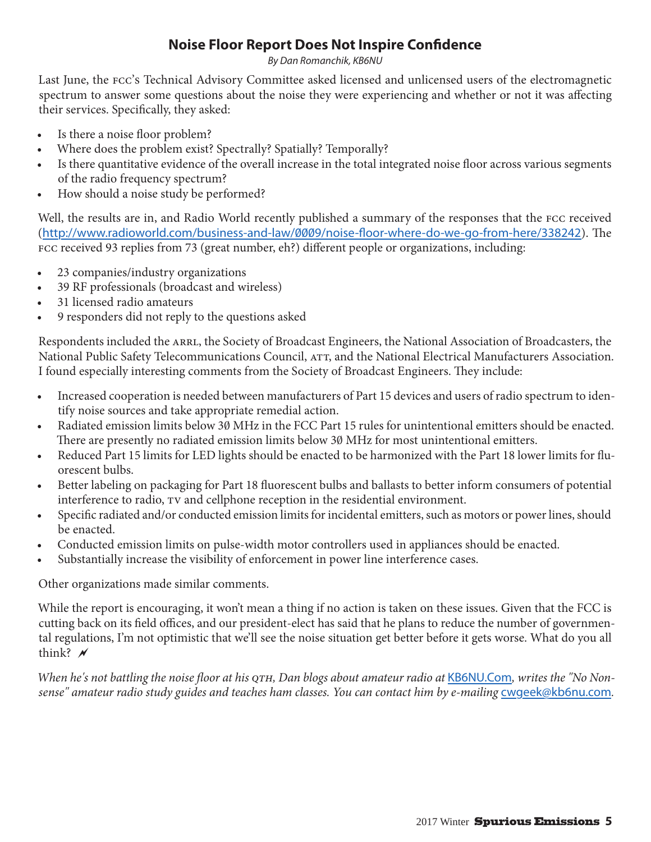# **Noise Floor Report Does Not Inspire Confidence**

*By Dan Romanchik, KB6NU*

Last June, the FCC's Technical Advisory Committee asked licensed and unlicensed users of the electromagnetic spectrum to answer some questions about the noise they were experiencing and whether or not it was affecting their services. Specifically, they asked:

- Is there a noise floor problem?
- Where does the problem exist? Spectrally? Spatially? Temporally?
- Is there quantitative evidence of the overall increase in the total integrated noise floor across various segments of the radio frequency spectrum?
- How should a noise study be performed?

Well, the results are in, and Radio World recently published a summary of the responses that the FCC received (<http://www.radioworld.com/business-and-law/0009/noise-floor-where-do-we-go-from-here/338242>). The FCC received 93 replies from 73 (great number, eh?) different people or organizations, including:

- 23 companies/industry organizations
- 39 RF professionals (broadcast and wireless)
- 31 licensed radio amateurs
- 9 responders did not reply to the questions asked

Respondents included the ARRL, the Society of Broadcast Engineers, the National Association of Broadcasters, the National Public Safety Telecommunications Council, ATT, and the National Electrical Manufacturers Association. I found especially interesting comments from the Society of Broadcast Engineers. They include:

- Increased cooperation is needed between manufacturers of Part 15 devices and users of radio spectrum to identify noise sources and take appropriate remedial action.
- Radiated emission limits below 30 MHz in the FCC Part 15 rules for unintentional emitters should be enacted. There are presently no radiated emission limits below 30 MHz for most unintentional emitters.
- Reduced Part 15 limits for LED lights should be enacted to be harmonized with the Part 18 lower limits for fluorescent bulbs.
- Better labeling on packaging for Part 18 fluorescent bulbs and ballasts to better inform consumers of potential interference to radio, TV and cellphone reception in the residential environment.
- Specific radiated and/or conducted emission limits for incidental emitters, such as motors or power lines, should be enacted.
- Conducted emission limits on pulse-width motor controllers used in appliances should be enacted.
- Substantially increase the visibility of enforcement in power line interference cases.

Other organizations made similar comments.

While the report is encouraging, it won't mean a thing if no action is taken on these issues. Given that the FCC is cutting back on its field offices, and our president-elect has said that he plans to reduce the number of governmental regulations, I'm not optimistic that we'll see the noise situation get better before it gets worse. What do you all think?  $\lambda$ 

*When he's not battling the noise floor at his QTH, Dan blogs about amateur radio at* <KB6NU.Com>*, writes the "No Nonsense" amateur radio study guides and teaches ham classes. You can contact him by e-mailing* [cwgeek@kb6nu.com](mailto:cwgeek@kb6nu.com)*.*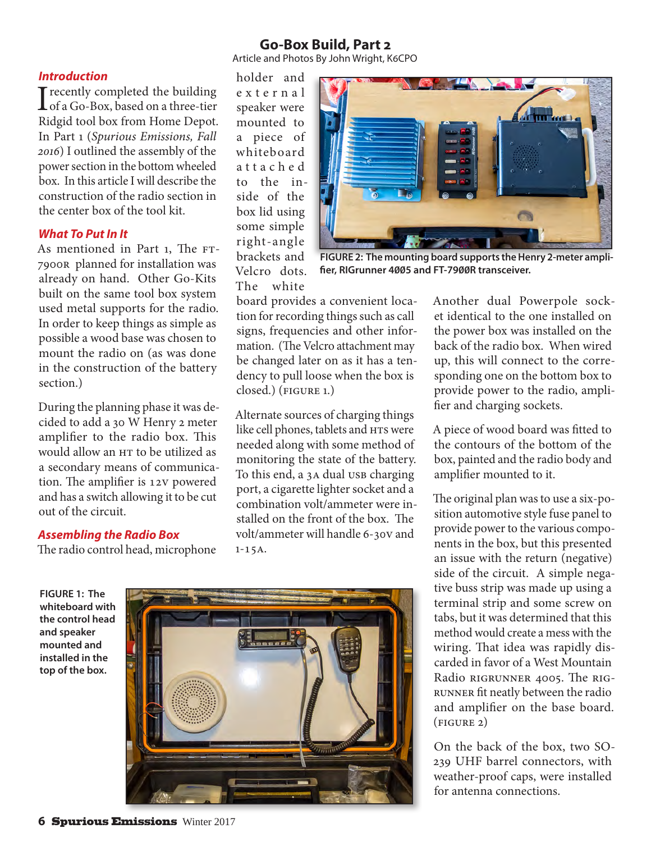## **Go-Box Build, Part 2**

Article and Photos By John Wright, K6CPO

#### *Introduction*

I recently completed the building<br>
of a Go-Box, based on a three-tier<br>
Didnible form Hame Dange Ridgid tool box from Home Depot. In Part 1 (*Spurious Emissions, Fall 2016*) I outlined the assembly of the power section in the bottom wheeled box. In this article I will describe the construction of the radio section in the center box of the tool kit.

### *What To Put In It*

As mentioned in Part 1, The FT-7900R planned for installation was already on hand. Other Go-Kits built on the same tool box system used metal supports for the radio. In order to keep things as simple as possible a wood base was chosen to mount the radio on (as was done in the construction of the battery section.)

During the planning phase it was decided to add a 30 W Henry 2 meter amplifier to the radio box. This would allow an HT to be utilized as a secondary means of communication. The amplifier is 12V powered and has a switch allowing it to be cut out of the circuit.

### *Assembling the Radio Box*

The radio control head, microphone

holder and e x t e r n a l speaker were mounted to a piece of whiteboard a t t a c h e d to the inside of the box lid using some simple right-angle brackets and Velcro dots. The white



**FIGURE 2: The mounting board supports the Henry 2-meter amplifier, RIGrunner 4005 and FT-7900R transceiver.**

board provides a convenient location for recording things such as call signs, frequencies and other information. (The Velcro attachment may be changed later on as it has a tendency to pull loose when the box is closed.) (FIGURE 1.)

Alternate sources of charging things like cell phones, tablets and HTs were needed along with some method of monitoring the state of the battery. To this end, a 3A dual USB charging port, a cigarette lighter socket and a combination volt/ammeter were installed on the front of the box. The volt/ammeter will handle 6-30V and  $1 - 15A$ .

Another dual Powerpole socket identical to the one installed on the power box was installed on the back of the radio box. When wired up, this will connect to the corresponding one on the bottom box to provide power to the radio, amplifier and charging sockets.

A piece of wood board was fitted to the contours of the bottom of the box, painted and the radio body and amplifier mounted to it.

The original plan was to use a six-position automotive style fuse panel to provide power to the various components in the box, but this presented an issue with the return (negative) side of the circuit. A simple negative buss strip was made up using a terminal strip and some screw on tabs, but it was determined that this method would create a mess with the wiring. That idea was rapidly discarded in favor of a West Mountain Radio RIGrunner 4005. The RIGrunner fit neatly between the radio and amplifier on the base board. (figure 2)

On the back of the box, two SO-239 UHF barrel connectors, with weather-proof caps, were installed for antenna connections.

**FIGURE 1: The whiteboard with the control head and speaker mounted and installed in the top of the box.**

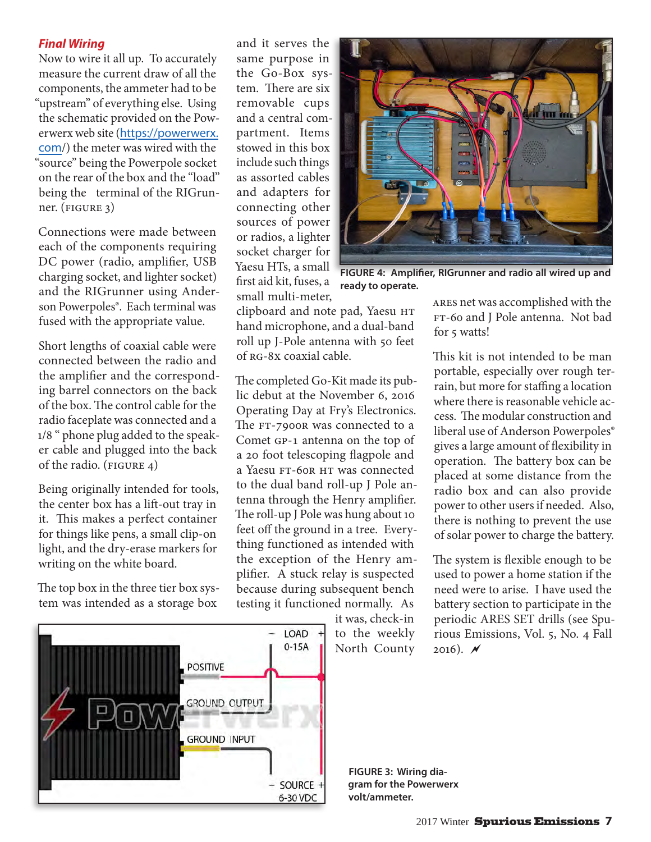## *Final Wiring*

Now to wire it all up. To accurately measure the current draw of all the components, the ammeter had to be "upstream" of everything else. Using the schematic provided on the Powerwerx web site ([https://powerwerx.](https://powerwerx.com) [com](https://powerwerx.com)/) the meter was wired with the "source" being the Powerpole socket on the rear of the box and the "load" being the terminal of the RIGrunner. (figure 3)

Connections were made between each of the components requiring DC power (radio, amplifier, USB charging socket, and lighter socket) and the RIGrunner using Anderson Powerpoles®. Each terminal was fused with the appropriate value.

Short lengths of coaxial cable were connected between the radio and the amplifier and the corresponding barrel connectors on the back of the box. The control cable for the radio faceplate was connected and a 1/8 " phone plug added to the speaker cable and plugged into the back of the radio. (FIGURE 4)

Being originally intended for tools, the center box has a lift-out tray in it. This makes a perfect container for things like pens, a small clip-on light, and the dry-erase markers for writing on the white board.

The top box in the three tier box system was intended as a storage box

and it serves the same purpose in the Go-Box system. There are six removable cups and a central compartment. Items stowed in this box include such things as assorted cables and adapters for connecting other sources of power or radios, a lighter socket charger for Yaesu HTs, a small first aid kit, fuses, a small multi-meter,



**FIGURE 4: Amplifier, RIGrunner and radio all wired up and ready to operate.**

clipboard and note pad, Yaesu HT hand microphone, and a dual-band roll up J-Pole antenna with 50 feet of RG-8X coaxial cable.

The completed Go-Kit made its public debut at the November 6, 2016 Operating Day at Fry's Electronics. The FT-7900R was connected to a Comet GP-1 antenna on the top of a 20 foot telescoping flagpole and a Yaesu FT-60R HT was connected to the dual band roll-up J Pole antenna through the Henry amplifier. The roll-up J Pole was hung about 10 feet off the ground in a tree. Everything functioned as intended with the exception of the Henry amplifier. A stuck relay is suspected because during subsequent bench testing it functioned normally. As

> it was, check-in to the weekly North County

ARES net was accomplished with the FT-60 and J Pole antenna. Not bad for 5 watts!

This kit is not intended to be man portable, especially over rough terrain, but more for staffing a location where there is reasonable vehicle access. The modular construction and liberal use of Anderson Powerpoles® gives a large amount of flexibility in operation. The battery box can be placed at some distance from the radio box and can also provide power to other users if needed. Also, there is nothing to prevent the use of solar power to charge the battery.

The system is flexible enough to be used to power a home station if the need were to arise. I have used the battery section to participate in the periodic ARES SET drills (see Spurious Emissions, Vol. 5, No. 4 Fall 2016).  $\cancel{N}$ 



**FIGURE 3: Wiring diagram for the Powerwerx volt/ammeter.**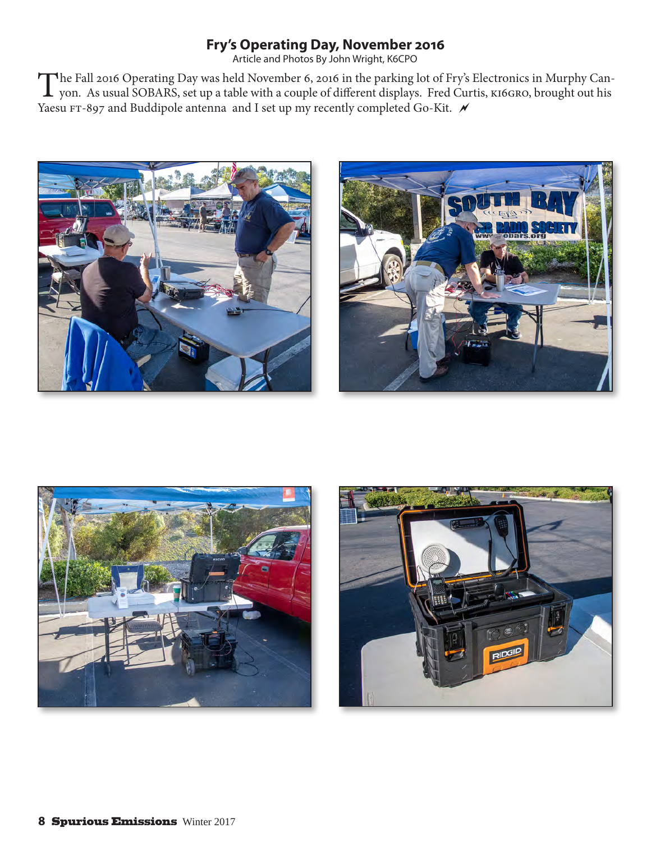# **Fry's Operating Day, November 2016**

Article and Photos By John Wright, K6CPO

The Fall 2016 Operating Day was held November 6, 2016 in the parking lot of Fry's Electronics in Murphy Can-<br>yon. As usual SOBARS, set up a table with a couple of different displays. Fred Curtis, KI6GRO, brought out his Yaesu FT-897 and Buddipole antenna and I set up my recently completed Go-Kit.  $\overline{\mathscr{M}}$